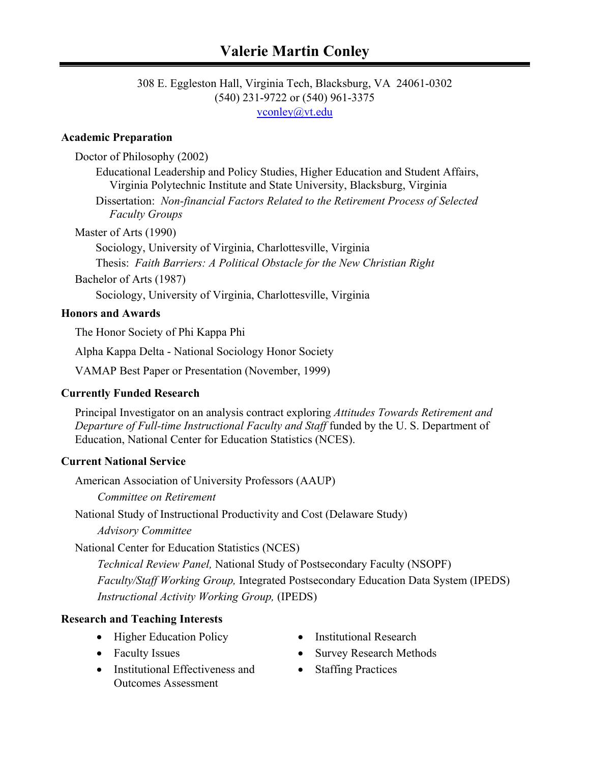#### 308 E. Eggleston Hall, Virginia Tech, Blacksburg, VA 24061-0302 (540) 231-9722 or (540) 961-3375 vconley@vt.edu

#### **Academic Preparation**

Doctor of Philosophy (2002)

Educational Leadership and Policy Studies, Higher Education and Student Affairs, Virginia Polytechnic Institute and State University, Blacksburg, Virginia

Dissertation: *Non-financial Factors Related to the Retirement Process of Selected Faculty Groups* 

Master of Arts (1990)

Sociology, University of Virginia, Charlottesville, Virginia Thesis: *Faith Barriers: A Political Obstacle for the New Christian Right*

Bachelor of Arts (1987)

Sociology, University of Virginia, Charlottesville, Virginia

#### **Honors and Awards**

The Honor Society of Phi Kappa Phi

Alpha Kappa Delta - National Sociology Honor Society

VAMAP Best Paper or Presentation (November, 1999)

# **Currently Funded Research**

Principal Investigator on an analysis contract exploring *Attitudes Towards Retirement and Departure of Full-time Instructional Faculty and Staff* funded by the U. S. Department of Education, National Center for Education Statistics (NCES).

# **Current National Service**

American Association of University Professors (AAUP)

 *Committee on Retirement* 

National Study of Instructional Productivity and Cost (Delaware Study)

 *Advisory Committee* 

National Center for Education Statistics (NCES)

 *Technical Review Panel,* National Study of Postsecondary Faculty (NSOPF)  *Faculty/Staff Working Group,* Integrated Postsecondary Education Data System (IPEDS)  *Instructional Activity Working Group,* (IPEDS)

# **Research and Teaching Interests**

- Higher Education Policy Institutional Research
- 
- Institutional Effectiveness and Outcomes Assessment
- 
- Faculty Issues Survey Research Methods
	- Staffing Practices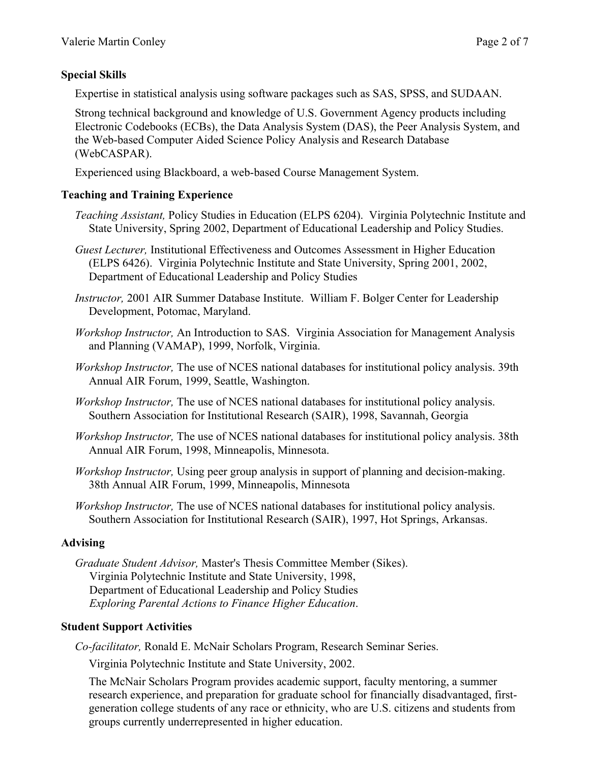# **Special Skills**

Expertise in statistical analysis using software packages such as SAS, SPSS, and SUDAAN.

Strong technical background and knowledge of U.S. Government Agency products including Electronic Codebooks (ECBs), the Data Analysis System (DAS), the Peer Analysis System, and the Web-based Computer Aided Science Policy Analysis and Research Database (WebCASPAR).

Experienced using Blackboard, a web-based Course Management System.

#### **Teaching and Training Experience**

- *Teaching Assistant,* Policy Studies in Education (ELPS 6204). Virginia Polytechnic Institute and State University, Spring 2002, Department of Educational Leadership and Policy Studies.
- *Guest Lecturer,* Institutional Effectiveness and Outcomes Assessment in Higher Education (ELPS 6426). Virginia Polytechnic Institute and State University, Spring 2001, 2002, Department of Educational Leadership and Policy Studies
- *Instructor,* 2001 AIR Summer Database Institute. William F. Bolger Center for Leadership Development, Potomac, Maryland.
- *Workshop Instructor,* An Introduction to SAS. Virginia Association for Management Analysis and Planning (VAMAP), 1999, Norfolk, Virginia.
- *Workshop Instructor,* The use of NCES national databases for institutional policy analysis. 39th Annual AIR Forum, 1999, Seattle, Washington.
- *Workshop Instructor,* The use of NCES national databases for institutional policy analysis. Southern Association for Institutional Research (SAIR), 1998, Savannah, Georgia
- *Workshop Instructor,* The use of NCES national databases for institutional policy analysis. 38th Annual AIR Forum, 1998, Minneapolis, Minnesota.
- *Workshop Instructor,* Using peer group analysis in support of planning and decision-making. 38th Annual AIR Forum, 1999, Minneapolis, Minnesota
- *Workshop Instructor,* The use of NCES national databases for institutional policy analysis. Southern Association for Institutional Research (SAIR), 1997, Hot Springs, Arkansas.

# **Advising**

*Graduate Student Advisor,* Master's Thesis Committee Member (Sikes). Virginia Polytechnic Institute and State University, 1998, Department of Educational Leadership and Policy Studies  *Exploring Parental Actions to Finance Higher Education*.

# **Student Support Activities**

*Co-facilitator,* Ronald E. McNair Scholars Program, Research Seminar Series.

Virginia Polytechnic Institute and State University, 2002.

The McNair Scholars Program provides academic support, faculty mentoring, a summer research experience, and preparation for graduate school for financially disadvantaged, firstgeneration college students of any race or ethnicity, who are U.S. citizens and students from groups currently underrepresented in higher education.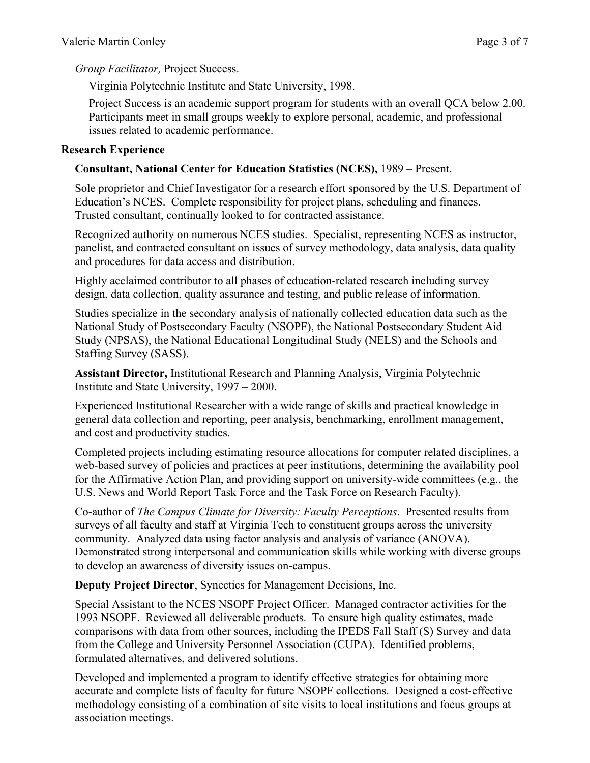*Group Facilitator,* Project Success.

Virginia Polytechnic Institute and State University, 1998.

Project Success is an academic support program for students with an overall QCA below 2.00. Participants meet in small groups weekly to explore personal, academic, and professional issues related to academic performance.

#### **Research Experience**

### **Consultant, National Center for Education Statistics (NCES),** 1989 – Present.

Sole proprietor and Chief Investigator for a research effort sponsored by the U.S. Department of Education's NCES. Complete responsibility for project plans, scheduling and finances. Trusted consultant, continually looked to for contracted assistance.

Recognized authority on numerous NCES studies. Specialist, representing NCES as instructor, panelist, and contracted consultant on issues of survey methodology, data analysis, data quality and procedures for data access and distribution.

Highly acclaimed contributor to all phases of education-related research including survey design, data collection, quality assurance and testing, and public release of information.

Studies specialize in the secondary analysis of nationally collected education data such as the National Study of Postsecondary Faculty (NSOPF), the National Postsecondary Student Aid Study (NPSAS), the National Educational Longitudinal Study (NELS) and the Schools and Staffing Survey (SASS).

**Assistant Director,** Institutional Research and Planning Analysis, Virginia Polytechnic Institute and State University, 1997 – 2000.

Experienced Institutional Researcher with a wide range of skills and practical knowledge in general data collection and reporting, peer analysis, benchmarking, enrollment management, and cost and productivity studies.

Completed projects including estimating resource allocations for computer related disciplines, a web-based survey of policies and practices at peer institutions, determining the availability pool for the Affirmative Action Plan, and providing support on university-wide committees (e.g., the U.S. News and World Report Task Force and the Task Force on Research Faculty).

Co-author of *The Campus Climate for Diversity: Faculty Perceptions*. Presented results from surveys of all faculty and staff at Virginia Tech to constituent groups across the university community. Analyzed data using factor analysis and analysis of variance (ANOVA). Demonstrated strong interpersonal and communication skills while working with diverse groups to develop an awareness of diversity issues on-campus.

**Deputy Project Director**, Synectics for Management Decisions, Inc.

Special Assistant to the NCES NSOPF Project Officer. Managed contractor activities for the 1993 NSOPF. Reviewed all deliverable products. To ensure high quality estimates, made comparisons with data from other sources, including the IPEDS Fall Staff (S) Survey and data from the College and University Personnel Association (CUPA). Identified problems, formulated alternatives, and delivered solutions.

Developed and implemented a program to identify effective strategies for obtaining more accurate and complete lists of faculty for future NSOPF collections. Designed a cost-effective methodology consisting of a combination of site visits to local institutions and focus groups at association meetings.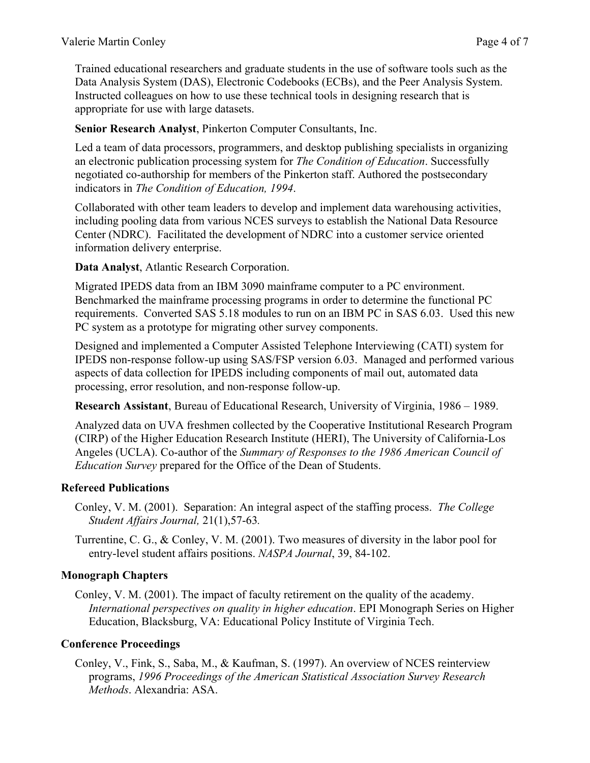Trained educational researchers and graduate students in the use of software tools such as the Data Analysis System (DAS), Electronic Codebooks (ECBs), and the Peer Analysis System. Instructed colleagues on how to use these technical tools in designing research that is appropriate for use with large datasets.

**Senior Research Analyst**, Pinkerton Computer Consultants, Inc.

Led a team of data processors, programmers, and desktop publishing specialists in organizing an electronic publication processing system for *The Condition of Education*. Successfully negotiated co-authorship for members of the Pinkerton staff. Authored the postsecondary indicators in *The Condition of Education, 1994*.

Collaborated with other team leaders to develop and implement data warehousing activities, including pooling data from various NCES surveys to establish the National Data Resource Center (NDRC). Facilitated the development of NDRC into a customer service oriented information delivery enterprise.

**Data Analyst**, Atlantic Research Corporation.

Migrated IPEDS data from an IBM 3090 mainframe computer to a PC environment. Benchmarked the mainframe processing programs in order to determine the functional PC requirements. Converted SAS 5.18 modules to run on an IBM PC in SAS 6.03. Used this new PC system as a prototype for migrating other survey components.

Designed and implemented a Computer Assisted Telephone Interviewing (CATI) system for IPEDS non-response follow-up using SAS/FSP version 6.03. Managed and performed various aspects of data collection for IPEDS including components of mail out, automated data processing, error resolution, and non-response follow-up.

**Research Assistant**, Bureau of Educational Research, University of Virginia, 1986 – 1989.

Analyzed data on UVA freshmen collected by the Cooperative Institutional Research Program (CIRP) of the Higher Education Research Institute (HERI), The University of California-Los Angeles (UCLA). Co-author of the *Summary of Responses to the 1986 American Council of Education Survey* prepared for the Office of the Dean of Students.

# **Refereed Publications**

Conley, V. M. (2001). Separation: An integral aspect of the staffing process. *The College Student Affairs Journal,* 21(1),57-63*.* 

Turrentine, C. G., & Conley, V. M. (2001). Two measures of diversity in the labor pool for entry-level student affairs positions. *NASPA Journal*, 39, 84-102.

# **Monograph Chapters**

Conley, V. M. (2001). The impact of faculty retirement on the quality of the academy. *International perspectives on quality in higher education*. EPI Monograph Series on Higher Education, Blacksburg, VA: Educational Policy Institute of Virginia Tech.

# **Conference Proceedings**

Conley, V., Fink, S., Saba, M., & Kaufman, S. (1997). An overview of NCES reinterview programs, *1996 Proceedings of the American Statistical Association Survey Research Methods*. Alexandria: ASA.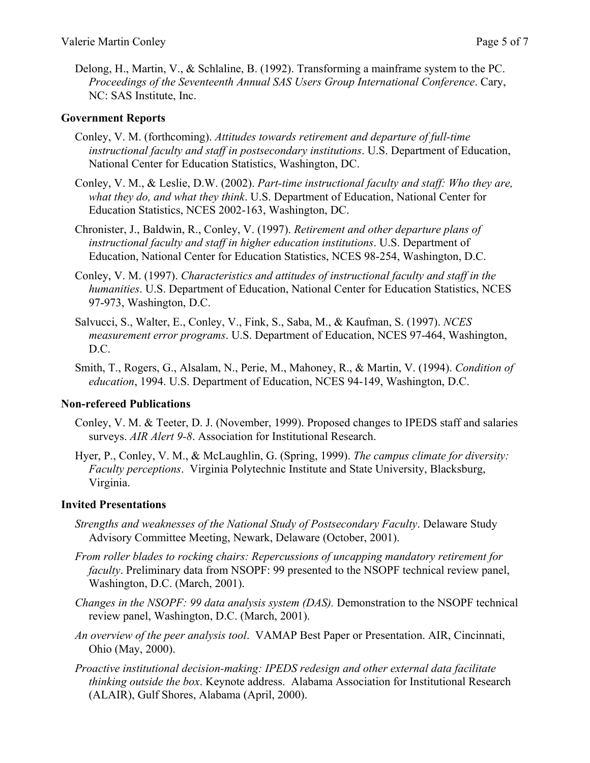Delong, H., Martin, V., & Schlaline, B. (1992). Transforming a mainframe system to the PC. *Proceedings of the Seventeenth Annual SAS Users Group International Conference*. Cary, NC: SAS Institute, Inc.

#### **Government Reports**

- Conley, V. M. (forthcoming). *Attitudes towards retirement and departure of full-time instructional faculty and staff in postsecondary institutions*. U.S. Department of Education, National Center for Education Statistics, Washington, DC.
- Conley, V. M., & Leslie, D.W. (2002). *Part-time instructional faculty and staff: Who they are, what they do, and what they think*. U.S. Department of Education, National Center for Education Statistics, NCES 2002-163, Washington, DC.
- Chronister, J., Baldwin, R., Conley, V. (1997). *Retirement and other departure plans of instructional faculty and staff in higher education institutions*. U.S. Department of Education, National Center for Education Statistics, NCES 98-254, Washington, D.C.
- Conley, V. M. (1997). *Characteristics and attitudes of instructional faculty and staff in the humanities*. U.S. Department of Education, National Center for Education Statistics, NCES 97-973, Washington, D.C.
- Salvucci, S., Walter, E., Conley, V., Fink, S., Saba, M., & Kaufman, S. (1997). *NCES measurement error programs*. U.S. Department of Education, NCES 97-464, Washington, D.C.
- Smith, T., Rogers, G., Alsalam, N., Perie, M., Mahoney, R., & Martin, V. (1994). *Condition of education*, 1994. U.S. Department of Education, NCES 94-149, Washington, D.C.

#### **Non-refereed Publications**

- Conley, V. M. & Teeter, D. J. (November, 1999). Proposed changes to IPEDS staff and salaries surveys. *AIR Alert 9-8*. Association for Institutional Research.
- Hyer, P., Conley, V. M., & McLaughlin, G. (Spring, 1999). *The campus climate for diversity: Faculty perceptions*. Virginia Polytechnic Institute and State University, Blacksburg, Virginia.

#### **Invited Presentations**

- *Strengths and weaknesses of the National Study of Postsecondary Faculty*. Delaware Study Advisory Committee Meeting, Newark, Delaware (October, 2001).
- *From roller blades to rocking chairs: Repercussions of uncapping mandatory retirement for faculty*. Preliminary data from NSOPF: 99 presented to the NSOPF technical review panel, Washington, D.C. (March, 2001).
- *Changes in the NSOPF: 99 data analysis system (DAS).* Demonstration to the NSOPF technical review panel, Washington, D.C. (March, 2001).
- *An overview of the peer analysis tool*. VAMAP Best Paper or Presentation. AIR, Cincinnati, Ohio (May, 2000).
- *Proactive institutional decision-making: IPEDS redesign and other external data facilitate thinking outside the box*. Keynote address. Alabama Association for Institutional Research (ALAIR), Gulf Shores, Alabama (April, 2000).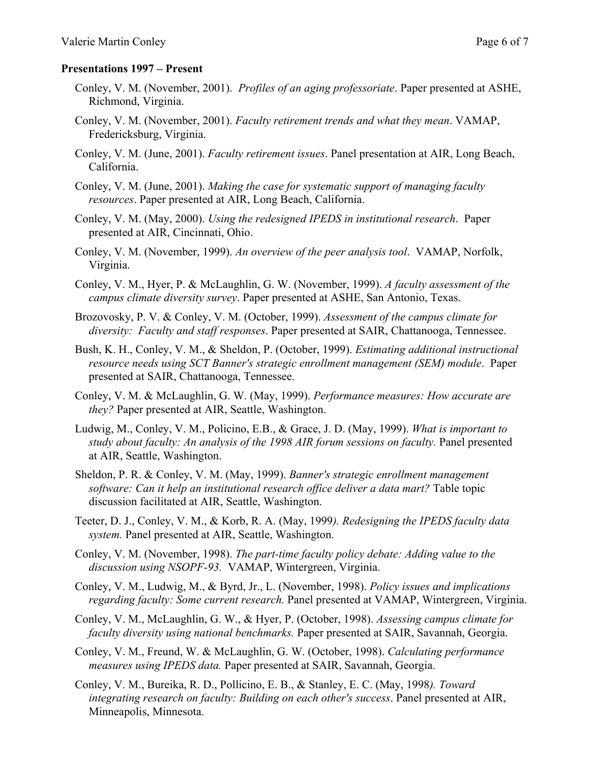#### **Presentations 1997 – Present**

- Conley, V. M. (November, 2001). *Profiles of an aging professoriate*. Paper presented at ASHE, Richmond, Virginia.
- Conley, V. M. (November, 2001). *Faculty retirement trends and what they mean*. VAMAP, Fredericksburg, Virginia.
- Conley, V. M. (June, 2001). *Faculty retirement issues*. Panel presentation at AIR, Long Beach, California.
- Conley, V. M. (June, 2001). *Making the case for systematic support of managing faculty resources*. Paper presented at AIR, Long Beach, California.
- Conley, V. M. (May, 2000). *Using the redesigned IPEDS in institutional research*. Paper presented at AIR, Cincinnati, Ohio.
- Conley, V. M. (November, 1999). *An overview of the peer analysis tool*. VAMAP, Norfolk, Virginia.
- Conley, V. M., Hyer, P. & McLaughlin, G. W. (November, 1999). *A faculty assessment of the campus climate diversity survey*. Paper presented at ASHE, San Antonio, Texas.
- Brozovosky, P. V. & Conley, V. M. (October, 1999). *Assessment of the campus climate for diversity: Faculty and staff responses*. Paper presented at SAIR, Chattanooga, Tennessee.
- Bush, K. H., Conley, V. M., & Sheldon, P. (October, 1999). *Estimating additional instructional resource needs using SCT Banner's strategic enrollment management (SEM) module*. Paper presented at SAIR, Chattanooga, Tennessee.
- Conley, V. M. & McLaughlin, G. W. (May, 1999). *Performance measures: How accurate are they?* Paper presented at AIR, Seattle, Washington.
- Ludwig, M., Conley, V. M., Policino, E.B., & Grace, J. D. (May, 1999). *What is important to study about faculty: An analysis of the 1998 AIR forum sessions on faculty.* Panel presented at AIR, Seattle, Washington.
- Sheldon, P. R. & Conley, V. M. (May, 1999). *Banner's strategic enrollment management software: Can it help an institutional research office deliver a data mart?* Table topic discussion facilitated at AIR, Seattle, Washington.
- Teeter, D. J., Conley, V. M., & Korb, R. A. (May, 1999*). Redesigning the IPEDS faculty data system.* Panel presented at AIR, Seattle, Washington.
- Conley, V. M. (November, 1998). *The part-time faculty policy debate: Adding value to the discussion using NSOPF-93.* VAMAP, Wintergreen, Virginia.
- Conley, V. M., Ludwig, M., & Byrd, Jr., L. (November, 1998). *Policy issues and implications regarding faculty: Some current research.* Panel presented at VAMAP, Wintergreen, Virginia.
- Conley, V. M., McLaughlin, G. W., & Hyer, P. (October, 1998). *Assessing campus climate for faculty diversity using national benchmarks.* Paper presented at SAIR, Savannah, Georgia.
- Conley, V. M., Freund, W. & McLaughlin, G. W. (October, 1998). *Calculating performance measures using IPEDS data.* Paper presented at SAIR, Savannah, Georgia.
- Conley, V. M., Bureika, R. D., Pollicino, E. B., & Stanley, E. C. (May, 1998*). Toward integrating research on faculty: Building on each other's success*. Panel presented at AIR, Minneapolis, Minnesota.